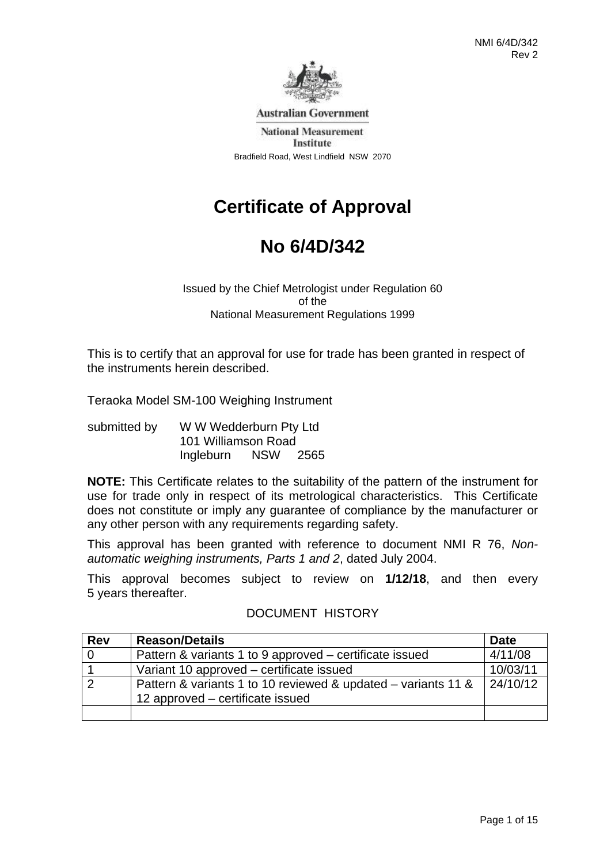

**Australian Government** 

**National Measurement** Institute Bradfield Road, West Lindfield NSW 2070

# **Certificate of Approval**

# **No 6/4D/342**

Issued by the Chief Metrologist under Regulation 60 of the National Measurement Regulations 1999

This is to certify that an approval for use for trade has been granted in respect of the instruments herein described.

Teraoka Model SM-100 Weighing Instrument

submitted by WW Wedderburn Pty Ltd 101 Williamson Road Ingleburn NSW 2565

**NOTE:** This Certificate relates to the suitability of the pattern of the instrument for use for trade only in respect of its metrological characteristics. This Certificate does not constitute or imply any guarantee of compliance by the manufacturer or any other person with any requirements regarding safety.

This approval has been granted with reference to document NMI R 76, *Nonautomatic weighing instruments, Parts 1 and 2*, dated July 2004.

This approval becomes subject to review on **1/12/18**, and then every 5 years thereafter.

| <b>Rev</b> | <b>Reason/Details</b>                                         | <b>Date</b> |
|------------|---------------------------------------------------------------|-------------|
|            | Pattern & variants 1 to 9 approved – certificate issued       | 4/11/08     |
|            | Variant 10 approved – certificate issued                      | 10/03/11    |
|            | Pattern & variants 1 to 10 reviewed & updated – variants 11 & | 24/10/12    |
|            | 12 approved – certificate issued                              |             |
|            |                                                               |             |

# DOCUMENT HISTORY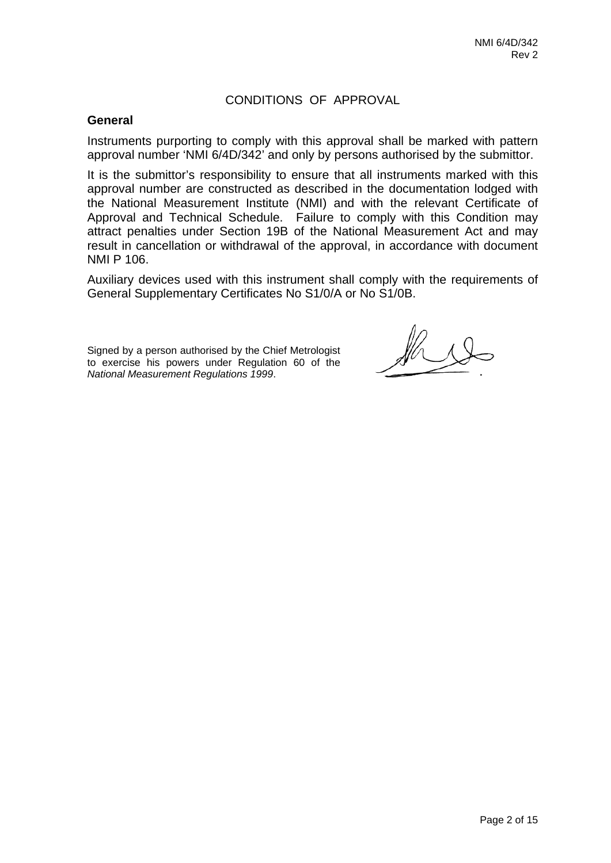# CONDITIONS OF APPROVAL

### **General**

Instruments purporting to comply with this approval shall be marked with pattern approval number 'NMI 6/4D/342' and only by persons authorised by the submittor.

It is the submittor's responsibility to ensure that all instruments marked with this approval number are constructed as described in the documentation lodged with the National Measurement Institute (NMI) and with the relevant Certificate of Approval and Technical Schedule. Failure to comply with this Condition may attract penalties under Section 19B of the National Measurement Act and may result in cancellation or withdrawal of the approval, in accordance with document NMI P 106.

Auxiliary devices used with this instrument shall comply with the requirements of General Supplementary Certificates No S1/0/A or No S1/0B.

Signed by a person authorised by the Chief Metrologist to exercise his powers under Regulation 60 of the *National Measurement Regulations 1999*.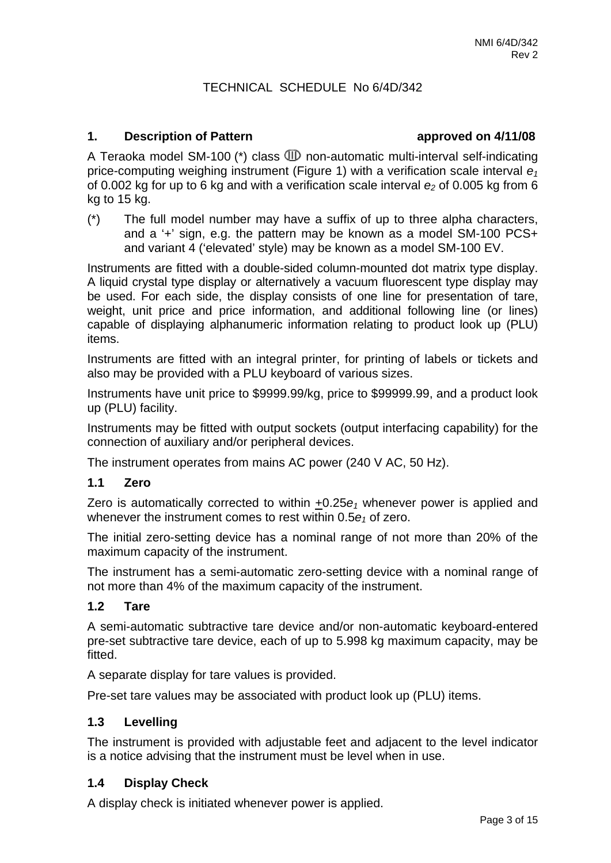# TECHNICAL SCHEDULE No 6/4D/342

#### **1. Description of Pattern approved on 4/11/08**

A Teraoka model SM-100 ( $*$ ) class  $I\!\!\!\!\!\!I\!\!\!\!\!I\!\!\!\!\!I\!\!\!\!\!I\!\!\!\!\!I\!\!\!\!\!I\!\!\!\!\!I\!\!\!\!\!I\!\!\!\!\!I\!\!\!\!\!I\!\!\!\!\!I\!\!\!\!I\!\!\!\!I\!\!\!\!I\!\!\!\!I\!\!\!\!I\!\!\!\!I\!\!\!\!I\!\!\!\!I\!\!\!\!I\!\!\!\!I\!\!\!\!I\!\!\!\!I\!\!\!\!I\!\!\!\!I\!\!\!\!I\!\!\!\!I\!\!\!\!I\!\!\!\$ price-computing weighing instrument (Figure 1) with a verification scale interval  $e_1$ of 0.002 kg for up to 6 kg and with a verification scale interval  $e_2$  of 0.005 kg from 6 kg to 15 kg.

(\*) The full model number may have a suffix of up to three alpha characters, and a '+' sign, e.g. the pattern may be known as a model SM-100 PCS+ and variant 4 ('elevated' style) may be known as a model SM-100 EV.

Instruments are fitted with a double-sided column-mounted dot matrix type display. A liquid crystal type display or alternatively a vacuum fluorescent type display may be used. For each side, the display consists of one line for presentation of tare, weight, unit price and price information, and additional following line (or lines) capable of displaying alphanumeric information relating to product look up (PLU) items.

Instruments are fitted with an integral printer, for printing of labels or tickets and also may be provided with a PLU keyboard of various sizes.

Instruments have unit price to \$9999.99/kg, price to \$99999.99, and a product look up (PLU) facility.

Instruments may be fitted with output sockets (output interfacing capability) for the connection of auxiliary and/or peripheral devices.

The instrument operates from mains AC power (240 V AC, 50 Hz).

#### **1.1 Zero**

Zero is automatically corrected to within +0.25*e1* whenever power is applied and whenever the instrument comes to rest within 0.5 $e_1$  of zero.

The initial zero-setting device has a nominal range of not more than 20% of the maximum capacity of the instrument.

The instrument has a semi-automatic zero-setting device with a nominal range of not more than 4% of the maximum capacity of the instrument.

#### **1.2 Tare**

A semi-automatic subtractive tare device and/or non-automatic keyboard-entered pre-set subtractive tare device, each of up to 5.998 kg maximum capacity, may be fitted.

A separate display for tare values is provided.

Pre-set tare values may be associated with product look up (PLU) items.

#### **1.3 Levelling**

The instrument is provided with adjustable feet and adjacent to the level indicator is a notice advising that the instrument must be level when in use.

#### **1.4 Display Check**

A display check is initiated whenever power is applied.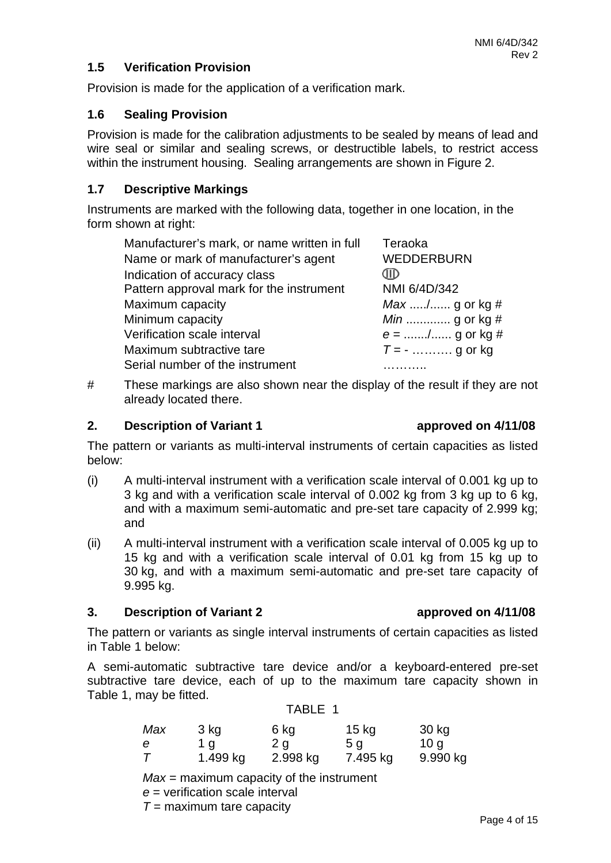# **1.5 Verification Provision**

Provision is made for the application of a verification mark.

# **1.6 Sealing Provision**

Provision is made for the calibration adjustments to be sealed by means of lead and wire seal or similar and sealing screws, or destructible labels, to restrict access within the instrument housing. Sealing arrangements are shown in Figure 2.

# **1.7 Descriptive Markings**

Instruments are marked with the following data, together in one location, in the form shown at right:

| Manufacturer's mark, or name written in full | Teraoka           |
|----------------------------------------------|-------------------|
| Name or mark of manufacturer's agent         | <b>WEDDERBURN</b> |
| Indication of accuracy class                 |                   |
| Pattern approval mark for the instrument     | NMI 6/4D/342      |
| Maximum capacity                             | Max / g or kg #   |
| Minimum capacity                             | $Min$ g or kg #   |
| Verification scale interval                  | $e =$ / g or kg # |
| Maximum subtractive tare                     | $T = -$ g or kg   |
| Serial number of the instrument              |                   |

# These markings are also shown near the display of the result if they are not already located there.

# **2.** Description of Variant 1 **a** approved on 4/11/08

The pattern or variants as multi-interval instruments of certain capacities as listed below:

- (i) A multi-interval instrument with a verification scale interval of 0.001 kg up to 3 kg and with a verification scale interval of 0.002 kg from 3 kg up to 6 kg, and with a maximum semi-automatic and pre-set tare capacity of 2.999 kg; and
- (ii) A multi-interval instrument with a verification scale interval of 0.005 kg up to 15 kg and with a verification scale interval of 0.01 kg from 15 kg up to 30 kg, and with a maximum semi-automatic and pre-set tare capacity of 9.995 kg.

# **3. Description of Variant 2 approved on 4/11/08**

The pattern or variants as single interval instruments of certain capacities as listed in Table 1 below:

A semi-automatic subtractive tare device and/or a keyboard-entered pre-set subtractive tare device, each of up to the maximum tare capacity shown in Table 1, may be fitted.

TABLE 1

| Max    | 3 kg     | 6 kg     | $15$ kg  | 30 kg    |
|--------|----------|----------|----------|----------|
| е      | 1 a      | 2 g      | 5 g      | 10q      |
| $\tau$ | 1.499 kg | 2.998 kg | 7.495 kg | 9.990 kg |

*Max* = maximum capacity of the instrument

*e* = verification scale interval

*T* = maximum tare capacity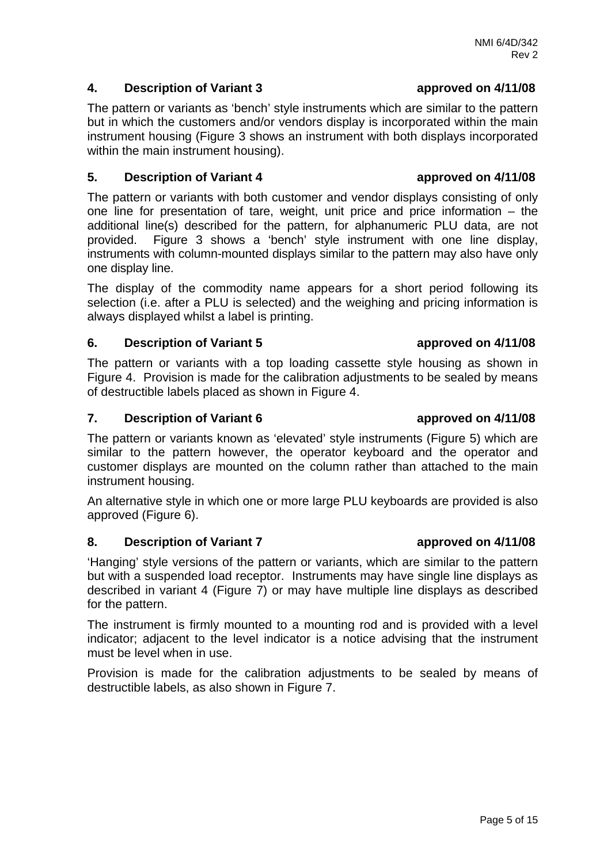# **4. Description of Variant 3 approved on 4/11/08**

The pattern or variants as 'bench' style instruments which are similar to the pattern but in which the customers and/or vendors display is incorporated within the main instrument housing (Figure 3 shows an instrument with both displays incorporated within the main instrument housing).

# **5. Description of Variant 4 approved on 4/11/08**

The pattern or variants with both customer and vendor displays consisting of only one line for presentation of tare, weight, unit price and price information – the additional line(s) described for the pattern, for alphanumeric PLU data, are not provided. Figure 3 shows a 'bench' style instrument with one line display, instruments with column-mounted displays similar to the pattern may also have only one display line.

The display of the commodity name appears for a short period following its selection (i.e. after a PLU is selected) and the weighing and pricing information is always displayed whilst a label is printing.

# **6. Description of Variant 5 approved on 4/11/08**

The pattern or variants with a top loading cassette style housing as shown in Figure 4. Provision is made for the calibration adjustments to be sealed by means of destructible labels placed as shown in Figure 4.

# **7.** Description of Variant 6 **a** approved on 4/11/08

The pattern or variants known as 'elevated' style instruments (Figure 5) which are similar to the pattern however, the operator keyboard and the operator and customer displays are mounted on the column rather than attached to the main instrument housing.

An alternative style in which one or more large PLU keyboards are provided is also approved (Figure 6).

# **8.** Description of Variant 7 **a a a a** *a* **a** *a* **<b>***a a a a a a a a a a a a a a a a a a a a a a a a a a a*

'Hanging' style versions of the pattern or variants, which are similar to the pattern but with a suspended load receptor. Instruments may have single line displays as described in variant 4 (Figure 7) or may have multiple line displays as described for the pattern.

The instrument is firmly mounted to a mounting rod and is provided with a level indicator; adjacent to the level indicator is a notice advising that the instrument must be level when in use.

Provision is made for the calibration adjustments to be sealed by means of destructible labels, as also shown in Figure 7.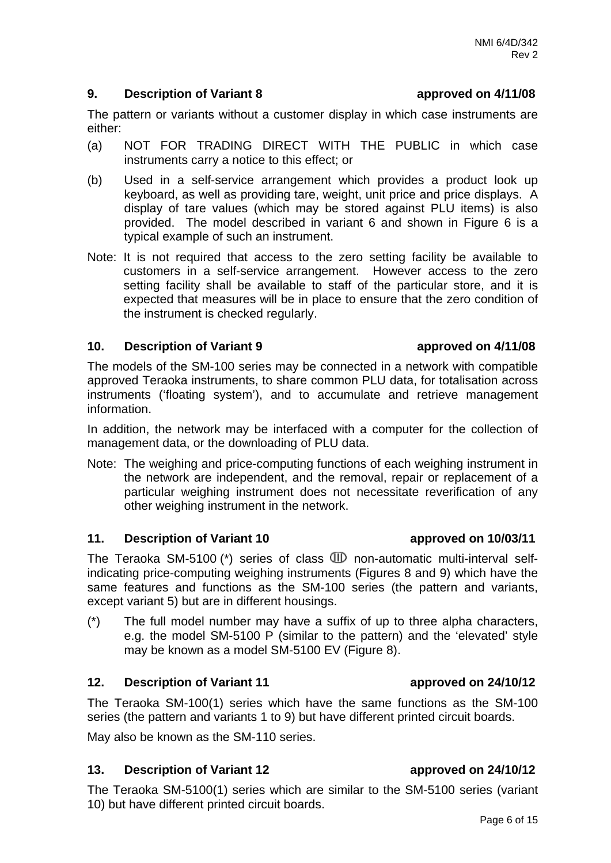instruments carry a notice to this effect; or

(b) Used in a self-service arrangement which provides a product look up keyboard, as well as providing tare, weight, unit price and price displays. A display of tare values (which may be stored against PLU items) is also provided. The model described in variant 6 and shown in Figure 6 is a typical example of such an instrument.

The pattern or variants without a customer display in which case instruments are

(a) NOT FOR TRADING DIRECT WITH THE PUBLIC in which case

Note: It is not required that access to the zero setting facility be available to customers in a self-service arrangement. However access to the zero setting facility shall be available to staff of the particular store, and it is expected that measures will be in place to ensure that the zero condition of the instrument is checked regularly.

### **10. Description of Variant 9 approved on 4/11/08**

either:

The models of the SM-100 series may be connected in a network with compatible approved Teraoka instruments, to share common PLU data, for totalisation across instruments ('floating system'), and to accumulate and retrieve management information.

In addition, the network may be interfaced with a computer for the collection of management data, or the downloading of PLU data.

Note: The weighing and price-computing functions of each weighing instrument in the network are independent, and the removal, repair or replacement of a particular weighing instrument does not necessitate reverification of any other weighing instrument in the network.

# **11. Description of Variant 10 approved on 10/03/11**

The Teraoka SM-5100 (\*) series of class  $\mathbb D$  non-automatic multi-interval selfindicating price-computing weighing instruments (Figures 8 and 9) which have the same features and functions as the SM-100 series (the pattern and variants, except variant 5) but are in different housings.

(\*) The full model number may have a suffix of up to three alpha characters, e.g. the model SM-5100 P (similar to the pattern) and the 'elevated' style may be known as a model SM-5100 EV (Figure 8).

# **12.** Description of Variant 11 **a** approved on 24/10/12

The Teraoka SM-100(1) series which have the same functions as the SM-100 series (the pattern and variants 1 to 9) but have different printed circuit boards.

May also be known as the SM-110 series.

# **13. Description of Variant 12 approved on 24/10/12**

The Teraoka SM-5100(1) series which are similar to the SM-5100 series (variant 10) but have different printed circuit boards.

### **9. Description of Variant 8 approved on 4/11/08**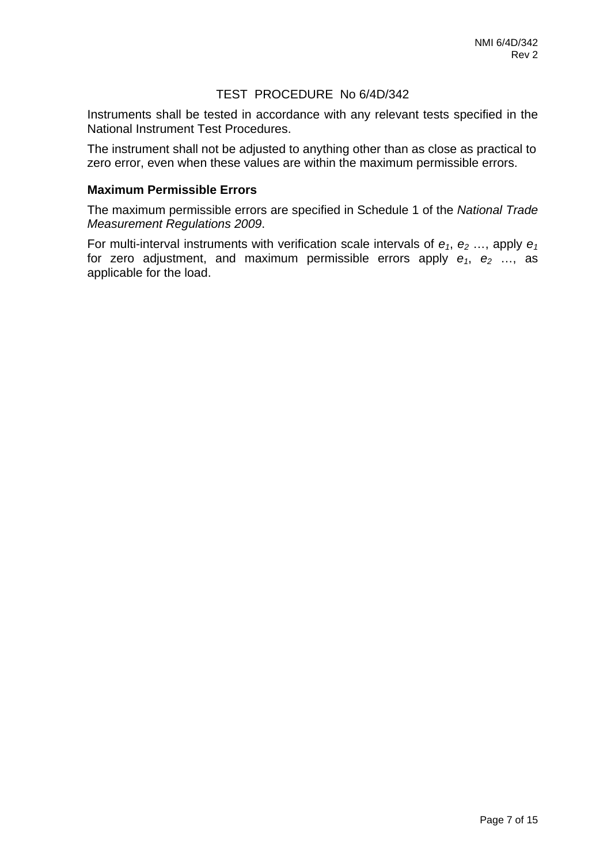# TEST PROCEDURE No 6/4D/342

Instruments shall be tested in accordance with any relevant tests specified in the National Instrument Test Procedures.

The instrument shall not be adjusted to anything other than as close as practical to zero error, even when these values are within the maximum permissible errors.

### **Maximum Permissible Errors**

The maximum permissible errors are specified in Schedule 1 of the *National Trade Measurement Regulations 2009*.

For multi-interval instruments with verification scale intervals of  $e_1$ ,  $e_2$  ..., apply  $e_1$ for zero adjustment, and maximum permissible errors apply  $e_1$ ,  $e_2$  ..., as applicable for the load.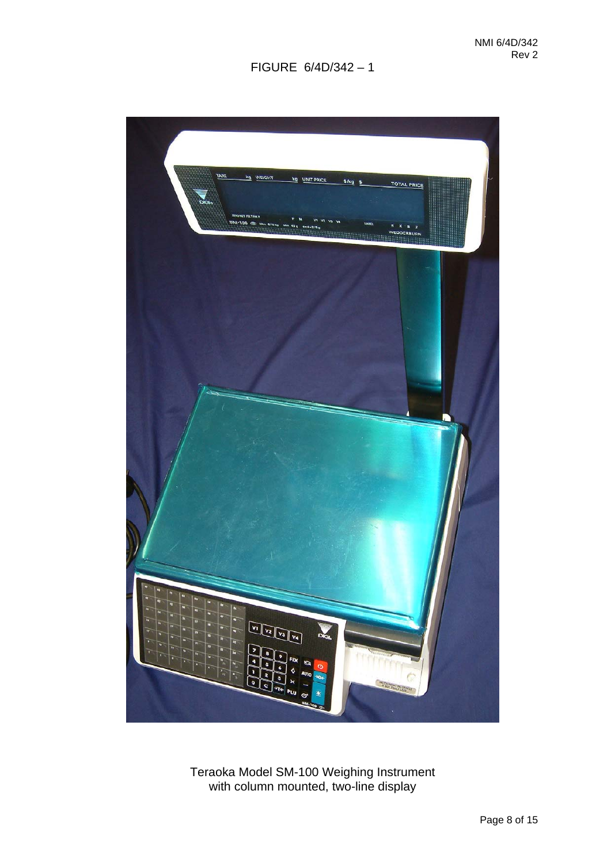

Teraoka Model SM-100 Weighing Instrument with column mounted, two-line display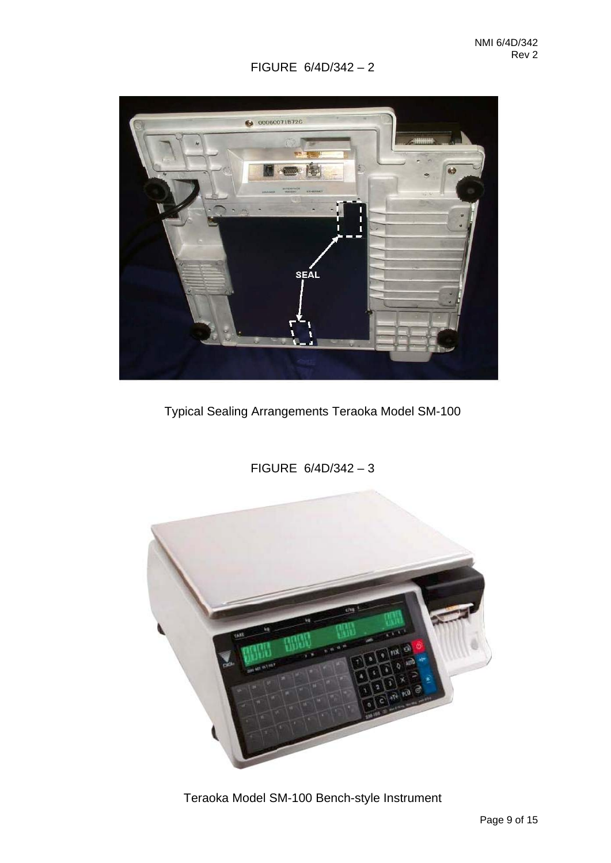

Typical Sealing Arrangements Teraoka Model SM-100

FIGURE 6/4D/342 – 3

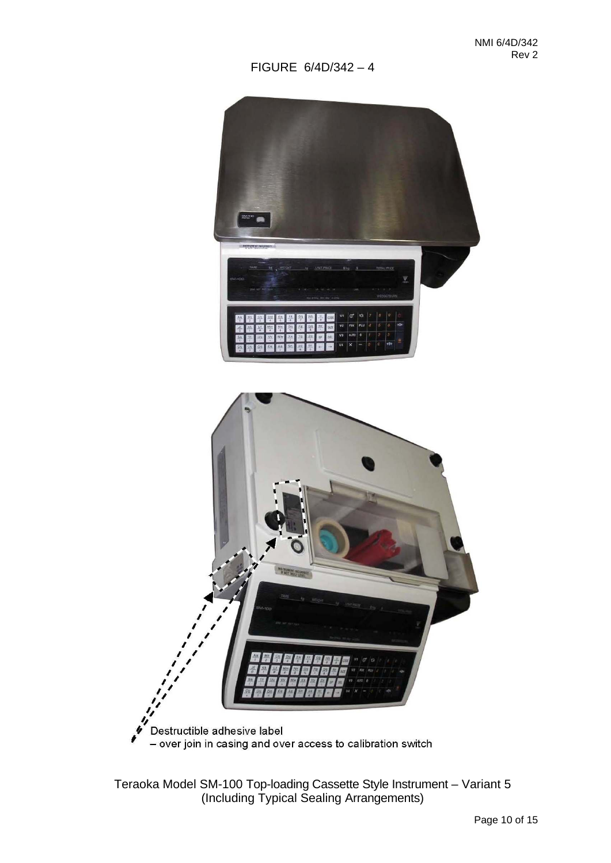

Teraoka Model SM-100 Top-loading Cassette Style Instrument – Variant 5 (Including Typical Sealing Arrangements)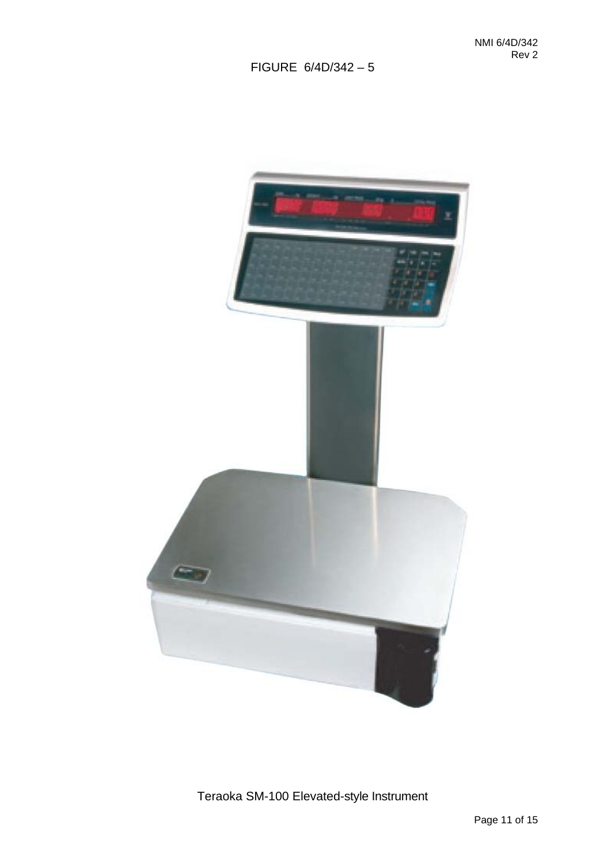

Teraoka SM-100 Elevated-style Instrument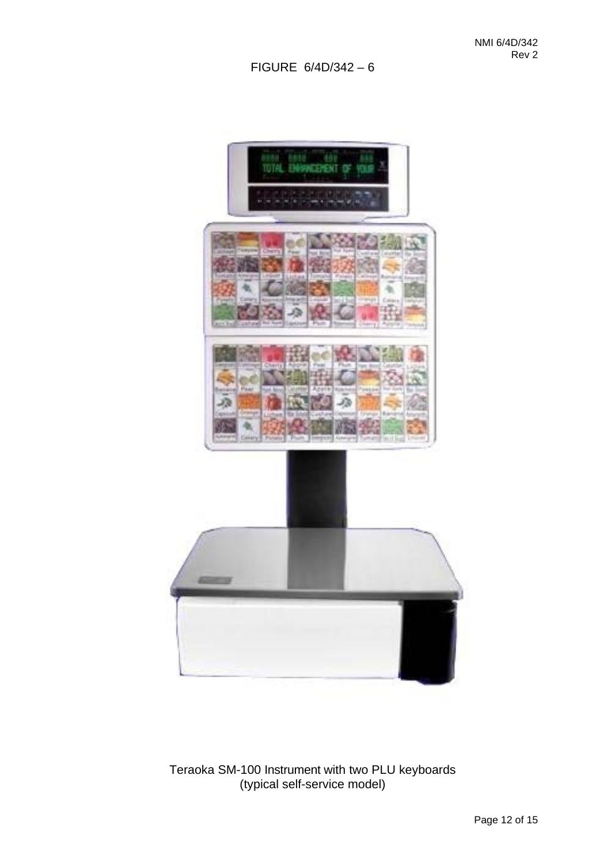

Teraoka SM-100 Instrument with two PLU keyboards (typical self-service model)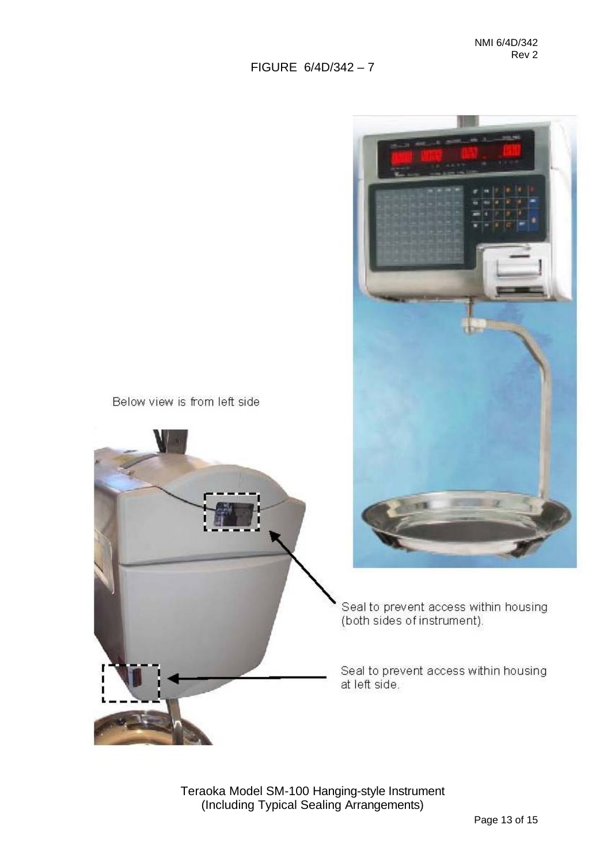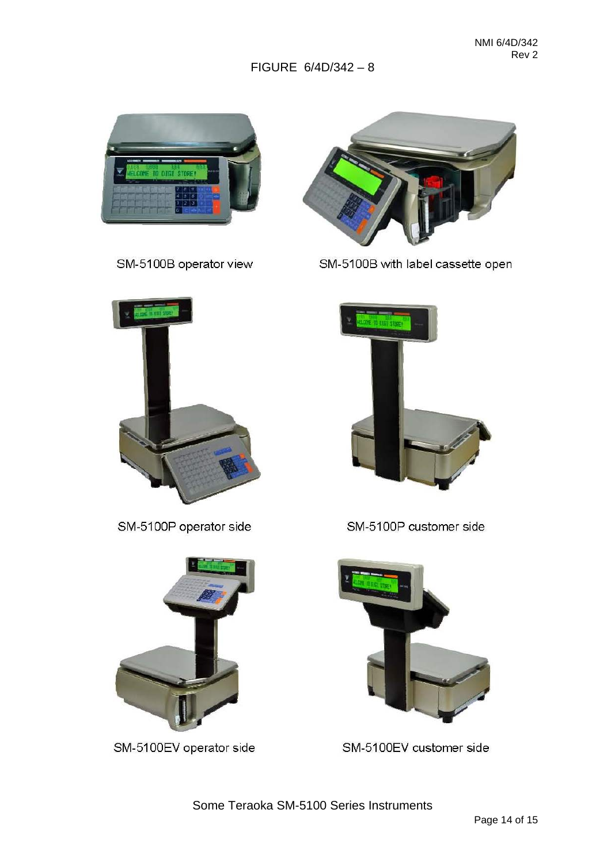

SM-5100B operator view



SM-5100B with label cassette open



SM-5100P customer side



SM-5100EV customer side



SM-5100P operator side



SM-5100EV operator side